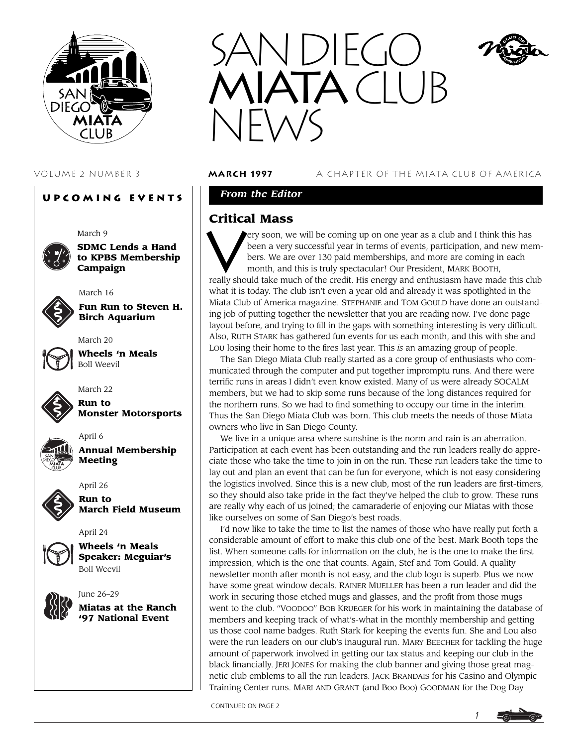

# **Upcoming Events**

March 9

**SDMC Lends a Hand to KPBS Membership Campaign**

**Fun Run to Steven H. Birch Aquarium**



March 20

March 22

March 16



**Wheels 'n Meals** Boll Weevil



**Run to Monster Motorsports**



**Annual Membership Meeting**



April 6

**Run to March Field Museum**

April 24



**Wheels 'n Meals Speaker: Meguiar's** Boll Weevil



June 26–29 **Miatas at the Ranch '97 National Event**



VOLUME 2 NUMBER 3 **march 1997** A CHAPTER OF THE MIATA CLUB OF AMERICA

# *From the Editor*

# **Critical Mass**

**Critical Mass**<br>
Very soon, we will be coming up on one year as a club and I think this has<br>
been a very successful year in terms of events, participation, and new me<br>
bers. We are over 130 paid memberships, and more are c been a very successful year in terms of events, participation, and new members. We are over 130 paid memberships, and more are coming in each month, and this is truly spectacular! Our President, MARK BOOTH, really should take much of the credit. His energy and enthusiasm have made this club what it is today. The club isn't even a year old and already it was spotlighted in the Miata Club of America magazine. STEPHANIE and TOM GOULD have done an outstanding job of putting together the newsletter that you are reading now. I've done page layout before, and trying to fill in the gaps with something interesting is very difficult. Also, RUTH STARK has gathered fun events for us each month, and this with she and LOU losing their home to the fires last year. This *is* an amazing group of people.

The San Diego Miata Club really started as a core group of enthusiasts who communicated through the computer and put together impromptu runs. And there were terrific runs in areas I didn't even know existed. Many of us were already SOCALM members, but we had to skip some runs because of the long distances required for the northern runs. So we had to find something to occupy our time in the interim. Thus the San Diego Miata Club was born. This club meets the needs of those Miata owners who live in San Diego County.

We live in a unique area where sunshine is the norm and rain is an aberration. Participation at each event has been outstanding and the run leaders really do appreciate those who take the time to join in on the run. These run leaders take the time to lay out and plan an event that can be fun for everyone, which is not easy considering the logistics involved. Since this is a new club, most of the run leaders are first-timers, so they should also take pride in the fact they've helped the club to grow. These runs are really why each of us joined; the camaraderie of enjoying our Miatas with those like ourselves on some of San Diego's best roads.

I'd now like to take the time to list the names of those who have really put forth a considerable amount of effort to make this club one of the best. Mark Booth tops the list. When someone calls for information on the club, he is the one to make the first impression, which is the one that counts. Again, Stef and Tom Gould. A quality newsletter month after month is not easy, and the club logo is superb. Plus we now have some great window decals. RAINER MUELLER has been a run leader and did the work in securing those etched mugs and glasses, and the profit from those mugs went to the club. "VOODOO" BOB KRUEGER for his work in maintaining the database of members and keeping track of what's-what in the monthly membership and getting us those cool name badges. Ruth Stark for keeping the events fun. She and Lou also were the run leaders on our club's inaugural run. MARY BEECHER for tackling the huge amount of paperwork involved in getting our tax status and keeping our club in the black financially. JERI JONES for making the club banner and giving those great magnetic club emblems to all the run leaders. JACK BRANDAIS for his Casino and Olympic Training Center runs. MARI AND GRANT (and Boo Boo) GOODMAN for the Dog Day

CONTINUED ON PAGE 2

*1*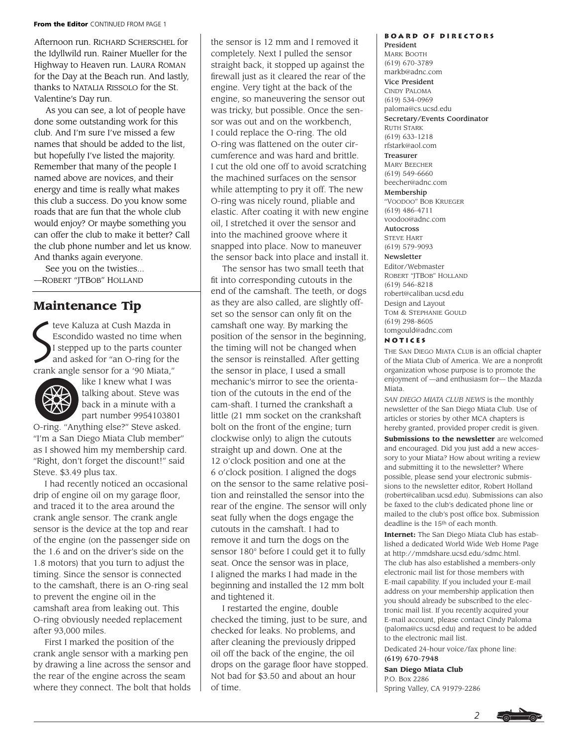#### **From the Editor** CONTINUED FROM PAGE 1

Afternoon run. RICHARD SCHERSCHEL for the Idyllwild run. Rainer Mueller for the Highway to Heaven run. LAURA ROMAN for the Day at the Beach run. And lastly, thanks to NATALIA RISSOLO for the St. Valentine's Day run.

As you can see, a lot of people have done some outstanding work for this club. And I'm sure I've missed a few names that should be added to the list, but hopefully I've listed the majority. Remember that many of the people I named above are novices, and their energy and time is really what makes this club a success. Do you know some roads that are fun that the whole club would enjoy? Or maybe something you can offer the club to make it better? Call the club phone number and let us know. And thanks again everyone.

See you on the twisties... —ROBERT "JTBOB" HOLLAND

# **Maintenance Tip**

 $\sum_{i=1}^{N}$ teve Kaluza at Cush Mazda in Escondido wasted no time when I stepped up to the parts counter and asked for "an O-ring for the crank angle sensor for a '90 Miata,"



like I knew what I was talking about. Steve was back in a minute with a part number 9954103801

O-ring. "Anything else?" Steve asked. "I'm a San Diego Miata Club member" as I showed him my membership card. "Right, don't forget the discount!" said Steve. \$3.49 plus tax.

I had recently noticed an occasional drip of engine oil on my garage floor, and traced it to the area around the crank angle sensor. The crank angle sensor is the device at the top and rear of the engine (on the passenger side on the 1.6 and on the driver's side on the 1.8 motors) that you turn to adjust the timing. Since the sensor is connected to the camshaft, there is an O-ring seal to prevent the engine oil in the camshaft area from leaking out. This O-ring obviously needed replacement after 93,000 miles.

First I marked the position of the crank angle sensor with a marking pen by drawing a line across the sensor and the rear of the engine across the seam where they connect. The bolt that holds

the sensor is 12 mm and I removed it completely. Next I pulled the sensor straight back, it stopped up against the firewall just as it cleared the rear of the engine. Very tight at the back of the engine, so maneuvering the sensor out was tricky, but possible. Once the sensor was out and on the workbench, I could replace the O-ring. The old O-ring was flattened on the outer circumference and was hard and brittle. I cut the old one off to avoid scratching the machined surfaces on the sensor while attempting to pry it off. The new O-ring was nicely round, pliable and elastic. After coating it with new engine oil, I stretched it over the sensor and into the machined groove where it snapped into place. Now to maneuver the sensor back into place and install it.

The sensor has two small teeth that fit into corresponding cutouts in the end of the camshaft. The teeth, or dogs as they are also called, are slightly offset so the sensor can only fit on the camshaft one way. By marking the position of the sensor in the beginning, the timing will not be changed when the sensor is reinstalled. After getting the sensor in place, I used a small mechanic's mirror to see the orientation of the cutouts in the end of the cam-shaft. I turned the crankshaft a little (21 mm socket on the crankshaft bolt on the front of the engine; turn clockwise only) to align the cutouts straight up and down. One at the 12 o'clock position and one at the 6 o'clock position. I aligned the dogs on the sensor to the same relative position and reinstalled the sensor into the rear of the engine. The sensor will only seat fully when the dogs engage the cutouts in the camshaft. I had to remove it and turn the dogs on the sensor 180° before I could get it to fully seat. Once the sensor was in place, I aligned the marks I had made in the beginning and installed the 12 mm bolt and tightened it.

I restarted the engine, double checked the timing, just to be sure, and checked for leaks. No problems, and after cleaning the previously dripped oil off the back of the engine, the oil drops on the garage floor have stopped. Not bad for \$3.50 and about an hour of time.

# **Board of Directors**

President MARK BOOTH (619) 670-3789 markb@adnc.com Vice President CINDY PALOMA (619) 534-0969 paloma@cs.ucsd.edu Secretary/Events Coordinator RUTH STARK (619) 633-1218 rfstark@aol.com Treasurer MARY BEECHER (619) 549-6660 beecher@adnc.com Membership "VOODOO" BOB KRUEGER (619) 486-4711 voodoo@adnc.com Autocross STEVE HART (619) 579-9093 Newsletter Editor/Webmaster ROBERT "JTBOB" HOLLAND (619) 546-8218 robert@caliban.ucsd.edu Design and Layout TOM & STEPHANIE GOULD (619) 298-8605 tomgould@adnc.com

#### **Notices**

THE SAN DIEGO MIATA CLUB is an official chapter of the Miata Club of America. We are a nonprofit organization whose purpose is to promote the enjoyment of —and enthusiasm for— the Mazda Miata.

*SAN DIEGO MIATA CLUB NEWS* is the monthly newsletter of the San Diego Miata Club. Use of articles or stories by other MCA chapters is hereby granted, provided proper credit is given. **Submissions to the newsletter** are welcomed and encouraged. Did you just add a new accessory to your Miata? How about writing a review and submitting it to the newsletter? Where possible, please send your electronic submissions to the newsletter editor, Robert Holland (robert@caliban.ucsd.edu). Submissions can also be faxed to the club's dedicated phone line or mailed to the club's post office box. Submission deadline is the 15th of each month.

**Internet:** The San Diego Miata Club has established a dedicated World Wide Web Home Page at http://mmdshare.ucsd.edu/sdmc.html. The club has also established a members-only electronic mail list for those members with E-mail capability. If you included your E-mail address on your membership application then you should already be subscribed to the electronic mail list. If you recently acquired your E-mail account, please contact Cindy Paloma (paloma@cs.ucsd.edu) and request to be added to the electronic mail list.

Dedicated 24-hour voice/fax phone line: (619) 670-7948

**San Diego Miata Club** P.O. Box 2286 Spring Valley, CA 91979-2286

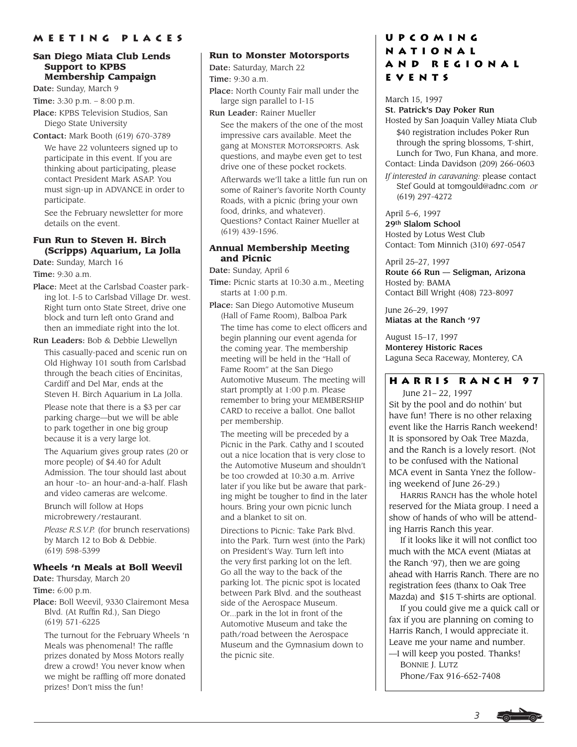#### **San Diego Miata Club Lends Support to KPBS Membership Campaign**

Date: Sunday, March 9

Time: 3:30 p.m. – 8:00 p.m.

Place: KPBS Television Studios, San Diego State University

Contact: Mark Booth (619) 670-3789

We have 22 volunteers signed up to participate in this event. If you are thinking about participating, please contact President Mark ASAP. You must sign-up in ADVANCE in order to participate.

See the February newsletter for more details on the event.

# **Fun Run to Steven H. Birch (Scripps) Aquarium, La Jolla**

Date: Sunday, March 16

Time: 9:30 a.m.

Place: Meet at the Carlsbad Coaster parking lot. I-5 to Carlsbad Village Dr. west. Right turn onto State Street, drive one block and turn left onto Grand and then an immediate right into the lot.

Run Leaders: Bob & Debbie Llewellyn

This casually-paced and scenic run on Old Highway 101 south from Carlsbad through the beach cities of Encinitas, Cardiff and Del Mar, ends at the Steven H. Birch Aquarium in La Jolla.

Please note that there is a \$3 per car parking charge—but we will be able to park together in one big group because it is a very large lot.

The Aquarium gives group rates (20 or more people) of \$4.40 for Adult Admission. The tour should last about an hour -to- an hour-and-a-half. Flash and video cameras are welcome.

Brunch will follow at Hops microbrewery/restaurant.

*Please R.S.V.P.* (for brunch reservations) by March 12 to Bob & Debbie. (619) 598-5399

### **Wheels 'n Meals at Boll Weevil**

Date: Thursday, March 20

Time: 6:00 p.m.

Place: Boll Weevil, 9330 Clairemont Mesa Blvd. (At Ruffin Rd.), San Diego (619) 571-6225

The turnout for the February Wheels 'n Meals was phenomenal! The raffle prizes donated by Moss Motors really drew a crowd! You never know when we might be raffling off more donated prizes! Don't miss the fun!

#### **Run to Monster Motorsports**

Date: Saturday, March 22

Time: 9:30 a.m.

- Place: North County Fair mall under the large sign parallel to I-15
- Run Leader: Rainer Mueller

See the makers of the one of the most impressive cars available. Meet the gang at MONSTER MOTORSPORTS. Ask questions, and maybe even get to test drive one of these pocket rockets.

Afterwards we'll take a little fun run on some of Rainer's favorite North County Roads, with a picnic (bring your own food, drinks, and whatever). Questions? Contact Rainer Mueller at (619) 439-1596.

### **Annual Membership Meeting and Picnic**

Date: Sunday, April 6

- Time: Picnic starts at 10:30 a.m., Meeting starts at 1:00 p.m.
- Place: San Diego Automotive Museum (Hall of Fame Room), Balboa Park The time has come to elect officers and begin planning our event agenda for the coming year. The membership meeting will be held in the "Hall of Fame Room" at the San Diego Automotive Museum. The meeting will start promptly at 1:00 p.m. Please remember to bring your MEMBERSHIP CARD to receive a ballot. One ballot per membership.

The meeting will be preceded by a Picnic in the Park. Cathy and I scouted out a nice location that is very close to the Automotive Museum and shouldn't be too crowded at 10:30 a.m. Arrive later if you like but be aware that parking might be tougher to find in the later hours. Bring your own picnic lunch and a blanket to sit on.

Directions to Picnic: Take Park Blvd. into the Park. Turn west (into the Park) on President's Way. Turn left into the very first parking lot on the left. Go all the way to the back of the parking lot. The picnic spot is located between Park Blvd. and the southeast side of the Aerospace Museum. Or...park in the lot in front of the Automotive Museum and take the path/road between the Aerospace Museum and the Gymnasium down to the picnic site.

# **Upcoming National and Regional Events**

March 15, 1997 St. Patrick's Day Poker Run

Hosted by San Joaquin Valley Miata Club \$40 registration includes Poker Run through the spring blossoms, T-shirt, Lunch for Two, Fun Khana, and more. Contact: Linda Davidson (209) 266-0603

*If interested in caravaning:* please contact Stef Gould at tomgould@adnc.com *or* (619) 297-4272

April 5–6, 1997 29th Slalom School Hosted by Lotus West Club Contact: Tom Minnich (310) 697-0547

April 25–27, 1997 Route 66 Run — Seligman, Arizona Hosted by: BAMA Contact Bill Wright (408) 723-8097

June 26–29, 1997 Miatas at the Ranch '97

August 15–17, 1997 Monterey Historic Races Laguna Seca Raceway, Monterey, CA

# **Harris Ranch 97**

June 21– 22, 1997 Sit by the pool and do nothin' but have fun! There is no other relaxing event like the Harris Ranch weekend! It is sponsored by Oak Tree Mazda, and the Ranch is a lovely resort. (Not to be confused with the National MCA event in Santa Ynez the following weekend of June 26-29.)

HARRIS RANCH has the whole hotel reserved for the Miata group. I need a show of hands of who will be attending Harris Ranch this year.

If it looks like it will not conflict too much with the MCA event (Miatas at the Ranch '97), then we are going ahead with Harris Ranch. There are no registration fees (thanx to Oak Tree Mazda) and \$15 T-shirts are optional.

If you could give me a quick call or fax if you are planning on coming to Harris Ranch, I would appreciate it. Leave me your name and number.

—I will keep you posted. Thanks! BONNIE J. LUTZ Phone/Fax 916-652-7408

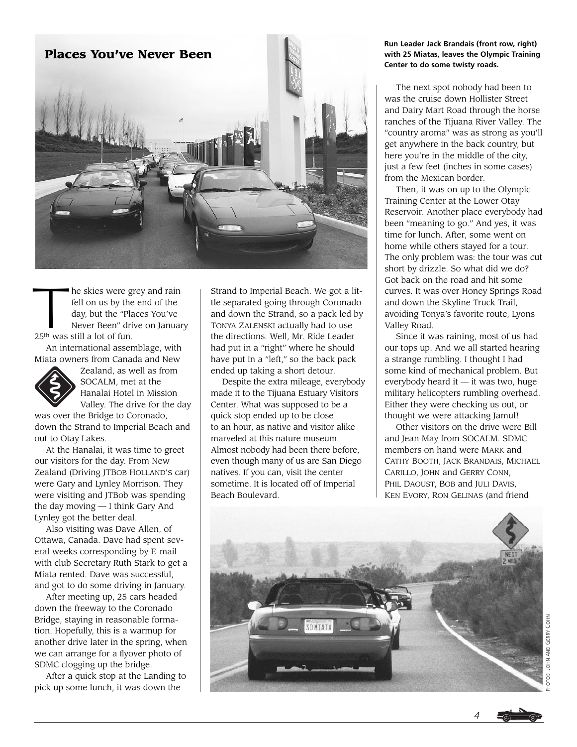

he skies were grey and rain fell on us by the end of the day, but the "Places You've Never Been" drive on January 25th was still a lot of fun.

An international assemblage, with Miata owners from Canada and New



Zealand, as well as from SOCALM, met at the Hanalai Hotel in Mission Valley. The drive for the day

was over the Bridge to Coronado, down the Strand to Imperial Beach and out to Otay Lakes.

At the Hanalai, it was time to greet our visitors for the day. From New Zealand (Driving JTBOB HOLLAND'S car) were Gary and Lynley Morrison. They were visiting and JTBob was spending the day moving — I think Gary And Lynley got the better deal.

Also visiting was Dave Allen, of Ottawa, Canada. Dave had spent several weeks corresponding by E-mail with club Secretary Ruth Stark to get a Miata rented. Dave was successful, and got to do some driving in January.

After meeting up, 25 cars headed down the freeway to the Coronado Bridge, staying in reasonable formation. Hopefully, this is a warmup for another drive later in the spring, when we can arrange for a flyover photo of SDMC clogging up the bridge.

After a quick stop at the Landing to pick up some lunch, it was down the

Strand to Imperial Beach. We got a little separated going through Coronado and down the Strand, so a pack led by TONYA ZALENSKI actually had to use the directions. Well, Mr. Ride Leader had put in a "right" where he should have put in a "left," so the back pack ended up taking a short detour.

Despite the extra mileage, everybody made it to the Tijuana Estuary Visitors Center. What was supposed to be a quick stop ended up to be close to an hour, as native and visitor alike marveled at this nature museum. Almost nobody had been there before, even though many of us are San Diego natives. If you can, visit the center sometime. It is located off of Imperial Beach Boulevard.

#### **Run Leader Jack Brandais (front row, right) with 25 Miatas, leaves the Olympic Training Center to do some twisty roads.**

The next spot nobody had been to was the cruise down Hollister Street and Dairy Mart Road through the horse ranches of the Tijuana River Valley. The "country aroma" was as strong as you'll get anywhere in the back country, but here you're in the middle of the city, just a few feet (inches in some cases) from the Mexican border.

Then, it was on up to the Olympic Training Center at the Lower Otay Reservoir. Another place everybody had been "meaning to go." And yes, it was time for lunch. After, some went on home while others stayed for a tour. The only problem was: the tour was cut short by drizzle. So what did we do? Got back on the road and hit some curves. It was over Honey Springs Road and down the Skyline Truck Trail, avoiding Tonya's favorite route, Lyons Valley Road.

Since it was raining, most of us had our tops up. And we all started hearing a strange rumbling. I thought I had some kind of mechanical problem. But everybody heard it — it was two, huge military helicopters rumbling overhead. Either they were checking us out, or thought we were attacking Jamul!

Other visitors on the drive were Bill and Jean May from SOCALM. SDMC members on hand were MARK and CATHY BOOTH, JACK BRANDAIS, MICHAEL CARILLO, JOHN and GERRY CONN, PHIL DAOUST, BOB and JULI DAVIS, KEN EVORY, RON GELINAS (and friend



*4*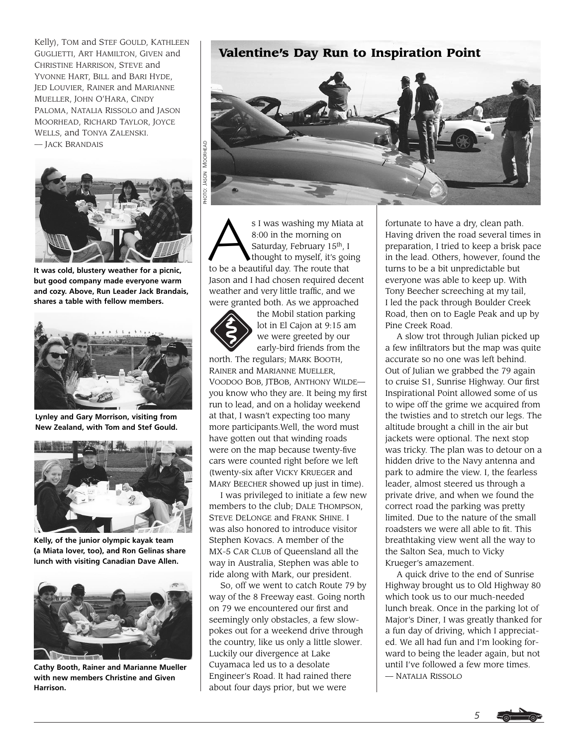Kelly), TOM and STEF GOULD, KATHLEEN GUGLIETTI, ART HAMILTON, GIVEN and CHRISTINE HARRISON, STEVE and YVONNE HART, BILL and BARI HYDE, JED LOUVIER, RAINER and MARIANNE MUELLER, JOHN O'HARA, CINDY PALOMA, NATALIA RISSOLO and JASON MOORHEAD, RICHARD TAYLOR, JOYCE WELLS, and TONYA ZALENSKI. — JACK BRANDAIS



**It was cold, blustery weather for a picnic, but good company made everyone warm and cozy. Above, Run Leader Jack Brandais, shares a table with fellow members.**



**Lynley and Gary Morrison, visiting from New Zealand, with Tom and Stef Gould.** 



**Kelly, of the junior olympic kayak team (a Miata lover, too), and Ron Gelinas share lunch with visiting Canadian Dave Allen.**



**Cathy Booth, Rainer and Marianne Mueller with new members Christine and Given Harrison.**

# **Valentine's Day Run to Inspiration Point**



8:00 in the morning on Saturday, February 15th, I thought to myself, it's going to be a beautiful day. The route that Jason and I had chosen required decent weather and very little traffic, and we were granted both. As we approached



the Mobil station parking lot in El Cajon at 9:15 am we were greeted by our early-bird friends from the

north. The regulars; MARK BOOTH, RAINER and MARIANNE MUELLER, VOODOO BOB, JTBOB, ANTHONY WILDE you know who they are. It being my first run to lead, and on a holiday weekend at that, I wasn't expecting too many more participants.Well, the word must have gotten out that winding roads were on the map because twenty-five cars were counted right before we left (twenty-six after VICKY KRUEGER and MARY BEECHER showed up just in time).

I was privileged to initiate a few new members to the club; DALE THOMPSON, STEVE DELONGE and FRANK SHINE. I was also honored to introduce visitor Stephen Kovacs. A member of the MX-5 CAR CLUB of Queensland all the way in Australia, Stephen was able to ride along with Mark, our president.

So, off we went to catch Route 79 by way of the 8 Freeway east. Going north on 79 we encountered our first and seemingly only obstacles, a few slowpokes out for a weekend drive through the country, like us only a little slower. Luckily our divergence at Lake Cuyamaca led us to a desolate Engineer's Road. It had rained there about four days prior, but we were

fortunate to have a dry, clean path. Having driven the road several times in preparation, I tried to keep a brisk pace in the lead. Others, however, found the turns to be a bit unpredictable but everyone was able to keep up. With Tony Beecher screeching at my tail, I led the pack through Boulder Creek Road, then on to Eagle Peak and up by Pine Creek Road.

A slow trot through Julian picked up a few infiltrators but the map was quite accurate so no one was left behind. Out of Julian we grabbed the 79 again to cruise S1, Sunrise Highway. Our first Inspirational Point allowed some of us to wipe off the grime we acquired from the twisties and to stretch our legs. The altitude brought a chill in the air but jackets were optional. The next stop was tricky. The plan was to detour on a hidden drive to the Navy antenna and park to admire the view. I, the fearless leader, almost steered us through a private drive, and when we found the correct road the parking was pretty limited. Due to the nature of the small roadsters we were all able to fit. This breathtaking view went all the way to the Salton Sea, much to Vicky Krueger's amazement.

A quick drive to the end of Sunrise Highway brought us to Old Highway 80 which took us to our much-needed lunch break. Once in the parking lot of Major's Diner, I was greatly thanked for a fun day of driving, which I appreciated. We all had fun and I'm looking forward to being the leader again, but not until I've followed a few more times. — NATALIA RISSOLO

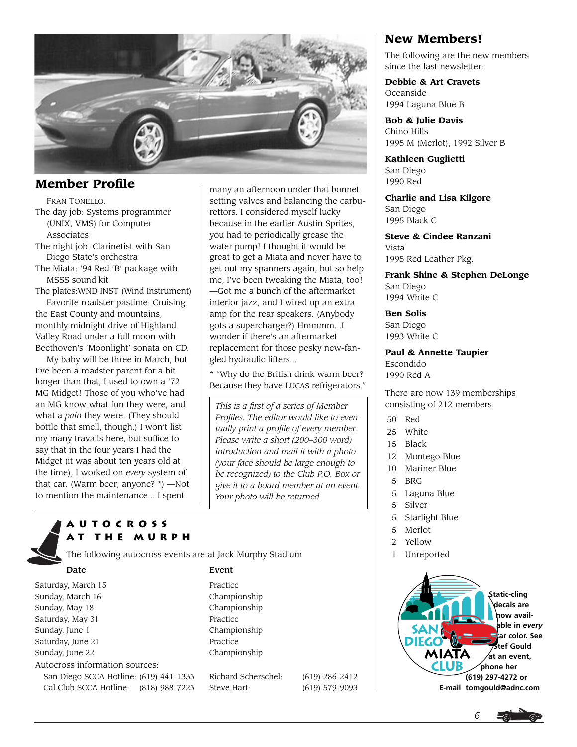

# **Member Profile**

FRAN TONELLO. The day job: Systems programmer (UNIX, VMS) for Computer Associates

The night job: Clarinetist with San Diego State's orchestra

The Miata: '94 Red 'B' package with MSSS sound kit

The plates:WND INST (Wind Instrument)

Favorite roadster pastime: Cruising the East County and mountains, monthly midnight drive of Highland Valley Road under a full moon with Beethoven's 'Moonlight' sonata on CD.

My baby will be three in March, but I've been a roadster parent for a bit longer than that; I used to own a '72 MG Midget! Those of you who've had an MG know what fun they were, and what a *pain* they were. (They should bottle that smell, though.) I won't list my many travails here, but suffice to say that in the four years I had the Midget (it was about ten years old at the time), I worked on *every* system of that car. (Warm beer, anyone? \*) —Not to mention the maintenance... I spent

many an afternoon under that bonnet setting valves and balancing the carburettors. I considered myself lucky because in the earlier Austin Sprites, you had to periodically grease the water pump! I thought it would be great to get a Miata and never have to get out my spanners again, but so help me, I've been tweaking the Miata, too! —Got me a bunch of the aftermarket interior jazz, and I wired up an extra amp for the rear speakers. (Anybody gots a supercharger?) Hmmmm...I wonder if there's an aftermarket replacement for those pesky new-fangled hydraulic lifters...

\* "Why do the British drink warm beer? Because they have LUCAS refrigerators."

*This is a first of a series of Member Profiles. The editor would like to eventually print a profile of every member. Please write a short (200–300 word) introduction and mail it with a photo (your face should be large enough to be recognized) to the Club P.O. Box or give it to a board member at an event. Your photo will be returned.*

# **Autocross at the Murph**

The following autocross events are at Jack Murphy Stadium

Saturday, March 15 Practice Sunday, March 16 Championship Sunday, May 18 Championship Saturday, May 31 Practice Sunday, June 1 Championship Saturday, June 21 Practice Sunday, June 22 Championship Autocross information sources: San Diego SCCA Hotline: (619) 441-1333 Richard Scherschel: (619) 286-2412

Date Event

Cal Club SCCA Hotline: (818) 988-7223 Steve Hart: (619) 579-9093

# **New Members!**

The following are the new members since the last newsletter:

**Debbie & Art Cravets** Oceanside 1994 Laguna Blue B

**Bob & Julie Davis** Chino Hills 1995 M (Merlot), 1992 Silver B

**Kathleen Guglietti** San Diego 1990 Red

**Charlie and Lisa Kilgore** San Diego 1995 Black C

**Steve & Cindee Ranzani** Vista 1995 Red Leather Pkg.

**Frank Shine & Stephen DeLonge** San Diego 1994 White C

**Ben Solis** San Diego 1993 White C

**Paul & Annette Taupier**

Escondido 1990 Red A

There are now 139 memberships consisting of 212 members.

- 50 Red
- 25 White
- 15 Black
- 12 Montego Blue
- 10 Mariner Blue
- 5 BRG
- 5 Laguna Blue
- 5 Silver
- 5 Starlight Blue
- 5 Merlot
- 2 Yellow
- 1 Unreported